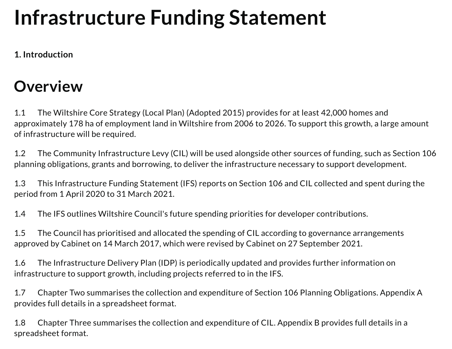# **Infrastructure Funding Statement**

**1. Introduction**

### **Overview**

1.1 The Wiltshire Core Strategy (Local Plan) (Adopted 2015) provides for at least 42,000 homes and approximately 178 ha of employment land in Wiltshire from 2006 to 2026. To support this growth, a large amount of infrastructure will be required.

1.2 The Community Infrastructure Levy (CIL) will be used alongside other sources of funding, such as Section 106 planning obligations, grants and borrowing, to deliver the infrastructure necessary to support development.

1.3 This Infrastructure Funding Statement (IFS) reports on Section 106 and CIL collected and spent during the period from 1 April 2020 to 31 March 2021.

1.4 The IFS outlines Wiltshire Council's future spending priorities for developer contributions.

1.5 The Council has prioritised and allocated the spending of CIL according to governance arrangements approved by Cabinet on 14 March 2017, which were revised by Cabinet on 27 September 2021.

1.6 The Infrastructure Delivery Plan (IDP) is periodically updated and provides further information on infrastructure to support growth, including projects referred to in the IFS.

1.7 Chapter Two summarises the collection and expenditure of Section 106 Planning Obligations. Appendix A provides full details in a spreadsheet format.

1.8 Chapter Three summarises the collection and expenditure of CIL. Appendix B provides full details in a spreadsheet format.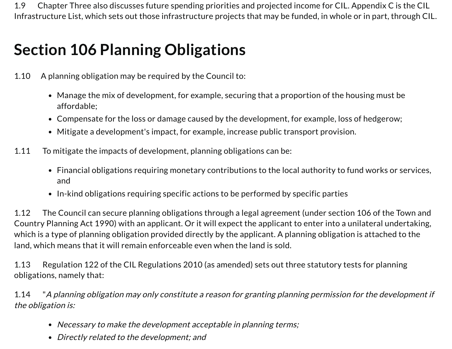1.9 Chapter Three also discusses future spending priorities and projected income for CIL. Appendix C is the CIL Infrastructure List, which sets out those infrastructure projects that may be funded, in whole or in part, through CIL.

## **Section 106 Planning Obligations**

- 1.10 A planning obligation may be required by the Council to:
	- Manage the mix of development, for example, securing that a proportion of the housing must be affordable;
	- Compensate for the loss or damage caused by the development, for example, loss of hedgerow;
	- Mitigate a development's impact, for example, increase public transport provision.
- 1.11 To mitigate the impacts of development, planning obligations can be:
	- Financial obligations requiring monetary contributions to the local authority to fund works or services, and
	- In-kind obligations requiring specific actions to be performed by specific parties

1.12 The Council can secure planning obligations through a legal agreement (under section 106 of the Town and Country Planning Act 1990) with an applicant. Or it will expect the applicant to enter into a unilateral undertaking, which is a type of planning obligation provided directly by the applicant. A planning obligation is attached to the land, which means that it will remain enforceable even when the land is sold.

1.13 Regulation 122 of the CIL Regulations 2010 (as amended) sets out three statutory tests for planning obligations, namely that:

1.14 "A planning obligation may only constitute <sup>a</sup> reason for granting planning permission for the development if the obligation is:

- Necessary to make the development acceptable in planning terms;
- Directly related to the development; and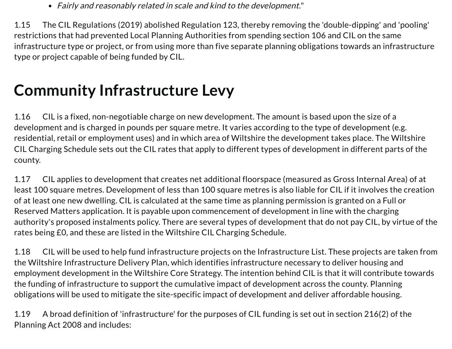Fairly and reasonably related in scale and kind to the development."

1.15 The CIL Regulations (2019) abolished Regulation 123, thereby removing the 'double-dipping' and 'pooling' restrictions that had prevented Local Planning Authorities from spending section 106 and CIL on the same infrastructure type or project, or from using more than five separate planning obligations towards an infrastructure type or project capable of being funded by CIL.

### **Community Infrastructure Levy**

1.16 CIL is a fixed, non-negotiable charge on new development. The amount is based upon the size of a development and is charged in pounds per square metre. It varies according to the type of development (e.g. residential, retail or employment uses) and in which area of Wiltshire the development takes place. The Wiltshire CIL Charging Schedule sets out the CIL rates that apply to different types of development in different parts of the county.

1.17 CIL applies to development that creates net additional floorspace (measured as Gross Internal Area) of at least 100 square metres. Development of less than 100 square metres is also liable for CIL if it involves the creation of at least one new dwelling. CIL is calculated at the same time as planning permission is granted on a Full or Reserved Matters application. It is payable upon commencement of development in line with the charging authority's proposed instalments policy. There are several types of development that do not pay CIL, by virtue of the rates being £0, and these are listed in the Wiltshire CIL Charging Schedule.

1.18 CIL will be used to help fund infrastructure projects on the Infrastructure List. These projects are taken from the Wiltshire Infrastructure Delivery Plan, which identifies infrastructure necessary to deliver housing and employment development in the Wiltshire Core Strategy. The intention behind CIL is that it will contribute towards the funding of infrastructure to support the cumulative impact of development across the county. Planning obligations will be used to mitigate the site-specific impact of development and deliver affordable housing.

1.19 A broad definition of 'infrastructure' for the purposes of CIL funding is set out in section 216(2) of the Planning Act 2008 and includes: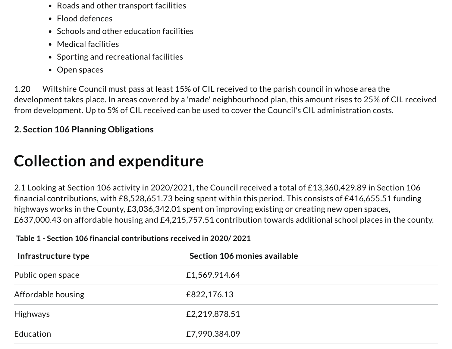- Roads and other transport facilities
- Flood defences
- Schools and other education facilities
- Medical facilities
- Sporting and recreational facilities
- Open spaces

1.20 Wiltshire Council must pass at least 15% of CIL received to the parish council in whose area the development takes place. In areas covered by a 'made' neighbourhood plan, this amount rises to 25% of CIL received from development. Up to 5% of CIL received can be used to cover the Council's CIL administration costs.

#### **2. Section 106 Planning Obligations**

### **Collection and expenditure**

2.1 Looking at Section 106 activity in 2020/2021, the Council received a total of £13,360,429.89 in Section 106 financial contributions, with £8,528,651.73 being spent within this period. This consists of £416,655.51 funding highways works in the County, £3,036,342.01 spent on improving existing or creating new open spaces, £637,000.43 on affordable housing and £4,215,757.51 contribution towards additional school places in the county.

#### **Table 1 - Section 106 financial contributions received in 2020/ 2021**

| Infrastructure type | Section 106 monies available |
|---------------------|------------------------------|
| Public open space   | £1,569,914.64                |
| Affordable housing  | £822,176.13                  |
| <b>Highways</b>     | £2,219,878.51                |
| Education           | £7,990,384.09                |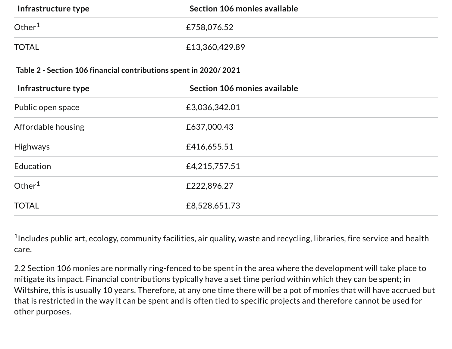| Infrastructure type                                              | Section 106 monies available |  |  |
|------------------------------------------------------------------|------------------------------|--|--|
| Other $1$                                                        | £758,076.52                  |  |  |
| <b>TOTAL</b>                                                     | £13,360,429.89               |  |  |
| Table 2 - Section 106 financial contributions spent in 2020/2021 |                              |  |  |
| Infrastructure type                                              | Section 106 monies available |  |  |
| Public open space                                                | £3,036,342.01                |  |  |
| Affordable housing                                               | £637,000.43                  |  |  |
| <b>Highways</b>                                                  | £416,655.51                  |  |  |
| Education                                                        | £4,215,757.51                |  |  |
| Other $1$                                                        | £222,896.27                  |  |  |
| <b>TOTAL</b>                                                     | £8,528,651.73                |  |  |

 $^{\rm 1}$ Includes public art, ecology, community facilities, air quality, waste and recycling, libraries, fire service and health care.

2.2 Section 106 monies are normally ring-fenced to be spent in the area where the development will take place to mitigate its impact. Financial contributions typically have a set time period within which they can be spent; in Wiltshire, this is usually 10 years. Therefore, at any one time there will be a pot of monies that will have accrued but that is restricted in the way it can be spent and is often tied to specific projects and therefore cannot be used for other purposes.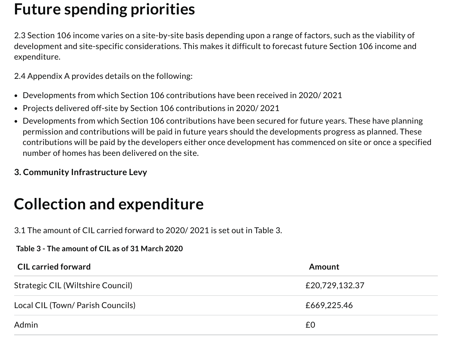### **Future spending priorities**

2.3 Section 106 income varies on a site-by-site basis depending upon a range of factors, such as the viability of development and site-specific considerations. This makes it difficult to forecast future Section 106 income and expenditure.

2.4 Appendix A provides details on the following:

- Developments from which Section 106 contributions have been received in 2020/ 2021
- Projects delivered off-site by Section 106 contributions in 2020/ 2021
- Developments from which Section 106 contributions have been secured for future years. These have planning permission and contributions will be paid in future years should the developments progress as planned. These contributions will be paid by the developers either once development has commenced on site or once a specified number of homes has been delivered on the site.
- **3. Community Infrastructure Levy**

### **Collection and expenditure**

3.1 The amount of CIL carried forward to 2020/ 2021 is set out in Table 3.

#### **Table 3 - The amount of CIL as of 31 March 2020**

| <b>CIL carried forward</b>        | Amount         |
|-----------------------------------|----------------|
| Strategic CIL (Wiltshire Council) | £20,729,132.37 |
| Local CIL (Town/ Parish Councils) | £669,225.46    |
| Admin                             | £0             |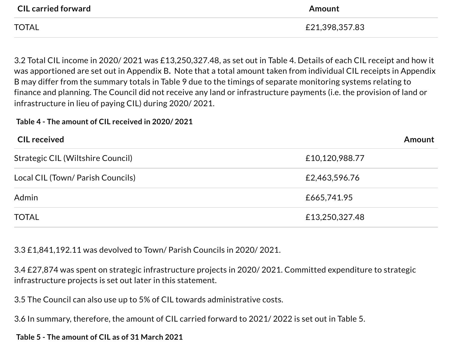| <b>CIL carried forward</b> | Amount         |
|----------------------------|----------------|
| <b>TOTAL</b>               | £21,398,357.83 |

3.2 Total CIL income in 2020/ 2021 was £13,250,327.48, as set out in Table 4. Details of each CIL receipt and how it was apportioned are set out in Appendix B**.** Note that a total amount taken from individual CIL receipts in Appendix B may differ from the summary totals in Table 9 due to the timings of separate monitoring systems relating to finance and planning. The Council did not receive any land or infrastructure payments (i.e. the provision of land or infrastructure in lieu of paying CIL) during 2020/ 2021.

#### **Table 4 - The amount of CIL received in 2020/ 2021**

| <b>CIL received</b>               | Amount         |
|-----------------------------------|----------------|
| Strategic CIL (Wiltshire Council) | £10,120,988.77 |
| Local CIL (Town/ Parish Councils) | £2,463,596.76  |
| Admin                             | £665,741.95    |
| <b>TOTAL</b>                      | £13,250,327.48 |

3.3 £1,841,192.11 was devolved to Town/ Parish Councils in 2020/ 2021.

3.4 £27,874 was spent on strategic infrastructure projects in 2020/ 2021. Committed expenditure to strategic infrastructure projects is set out later in this statement.

3.5 The Council can also use up to 5% of CIL towards administrative costs.

3.6 In summary, therefore, the amount of CIL carried forward to 2021/ 2022 is set out in Table 5.

#### **Table 5 - The amount of CIL as of 31 March 2021**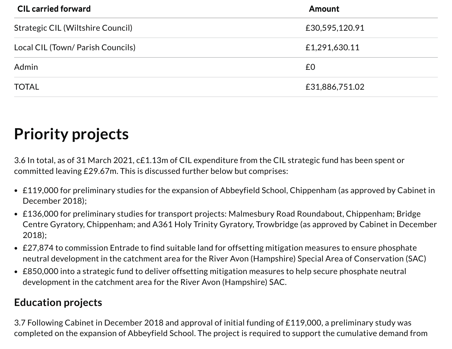| <b>CIL carried forward</b>        | <b>Amount</b>  |
|-----------------------------------|----------------|
| Strategic CIL (Wiltshire Council) | £30,595,120.91 |
| Local CIL (Town/ Parish Councils) | £1,291,630.11  |
| Admin                             | £0             |
| <b>TOTAL</b>                      | £31,886,751.02 |

### **Priority projects**

3.6 In total, as of 31 March 2021, c£1.13m of CIL expenditure from the CIL strategic fund has been spent or committed leaving £29.67m. This is discussed further below but comprises:

- £119,000 for preliminary studies for the expansion of Abbeyfield School, Chippenham (as approved by Cabinet in December 2018);
- £136,000 for preliminary studies for transport projects: Malmesbury Road Roundabout, Chippenham; Bridge Centre Gyratory, Chippenham; and A361 Holy Trinity Gyratory, Trowbridge (as approved by Cabinet in December 2018);
- £27,874 to commission Entrade to find suitable land for offsetting mitigation measures to ensure phosphate neutral development in the catchment area for the River Avon (Hampshire) Special Area of Conservation (SAC)
- £850,000 into a strategic fund to deliver offsetting mitigation measures to help secure phosphate neutral development in the catchment area for the River Avon (Hampshire) SAC.

#### **Education projects**

3.7 Following Cabinet in December 2018 and approval of initial funding of £119,000, a preliminary study was completed on the expansion of Abbeyfield School. The project is required to support the cumulative demand from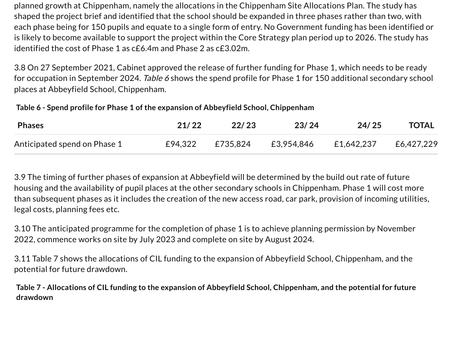planned growth at Chippenham, namely the allocations in the Chippenham Site Allocations Plan. The study has shaped the project brief and identified that the school should be expanded in three phases rather than two, with each phase being for 150 pupils and equate to a single form of entry. No Government funding has been identified or is likely to become available to support the project within the Core Strategy plan period up to 2026. The study has identified the cost of Phase 1 as c£6.4m and Phase 2 as c£3.02m.

3.8 On 27 September 2021, Cabinet approved the release of further funding for Phase 1, which needs to be ready for occupation in September 2024. Table 6 shows the spend profile for Phase 1 for 150 additional secondary school places at Abbeyfield School, Chippenham.

**Table 6 - Spend profile for Phase 1 of the expansion of Abbeyfield School, Chippenham**

| <b>Phases</b>                | 21/22 | 22/23            | 23/24      | 24/25      | <b>TOTAL</b> |
|------------------------------|-------|------------------|------------|------------|--------------|
| Anticipated spend on Phase 1 |       | £94,322 £735,824 | £3,954,846 | £1,642,237 | £6,427,229   |

3.9 The timing of further phases of expansion at Abbeyfield will be determined by the build out rate of future housing and the availability of pupil places at the other secondary schools in Chippenham. Phase 1 will cost more than subsequent phases as it includes the creation of the new access road, car park, provision of incoming utilities, legal costs, planning fees etc.

3.10 The anticipated programme for the completion of phase 1 is to achieve planning permission by November 2022, commence works on site by July 2023 and complete on site by August 2024.

3.11 Table 7 shows the allocations of CIL funding to the expansion of Abbeyfield School, Chippenham, and the potential for future drawdown.

Table 7 - Allocations of CIL funding to the expansion of Abbeyfield School, Chippenham, and the potential for future **drawdown**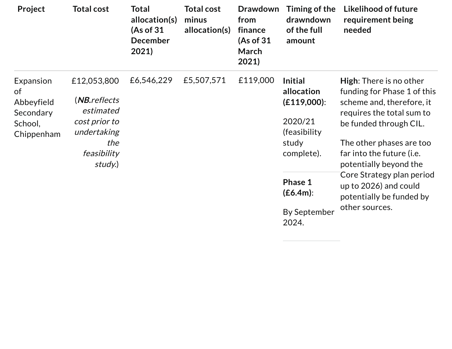| Project                                          | <b>Total cost</b>                                                                          | Total<br>allocation(s)<br>(As of 31<br><b>December</b><br>2021) | <b>Total cost</b><br>minus<br>allocation(s) | <b>Drawdown</b><br>from<br>finance<br>(As of 31<br>March<br>2021) | Timing of the<br>drawndown<br>of the full<br>amount                            | <b>Likelihood of future</b><br>requirement being<br>needed    |
|--------------------------------------------------|--------------------------------------------------------------------------------------------|-----------------------------------------------------------------|---------------------------------------------|-------------------------------------------------------------------|--------------------------------------------------------------------------------|---------------------------------------------------------------|
| Expansion<br><b>of</b>                           | £12,053,800                                                                                | £6,546,229                                                      | £5,507,571                                  | £119,000                                                          | <b>Initial</b><br>allocation                                                   | <b>High:</b> There is no other<br>funding for Phase 1 of this |
| Abbeyfield<br>Secondary<br>School,<br>Chippenham | (NB.reflects<br>estimated<br>cost prior to<br>undertaking<br>the<br>feasibility<br>study.) |                                                                 |                                             |                                                                   | $(E119,000)$ :                                                                 | scheme and, therefore, it<br>requires the total sum to        |
|                                                  |                                                                                            |                                                                 |                                             |                                                                   | 2020/21<br>(feasibility)                                                       | be funded through CIL.                                        |
|                                                  |                                                                                            |                                                                 |                                             |                                                                   | study<br>complete).                                                            | The other phases are too                                      |
|                                                  |                                                                                            |                                                                 |                                             |                                                                   |                                                                                | far into the future (i.e.<br>potentially beyond the           |
|                                                  |                                                                                            |                                                                 |                                             | Phase 1<br>$(E6.4m)$ :                                            | Core Strategy plan period<br>up to 2026) and could<br>potentially be funded by |                                                               |
|                                                  |                                                                                            |                                                                 |                                             |                                                                   | <b>By September</b><br>2024.                                                   | other sources.                                                |

 $\sim$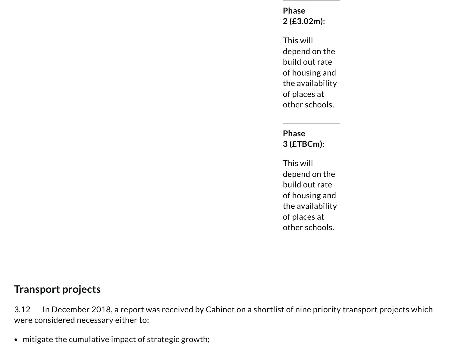**Phase 2 (£3.02m)**:

This will depend on the build out rate of housing and the availability of places at other schools.

**Phase 3 (£TBCm)**:

This will depend on the build out rate of housing and the availability of places at other schools.

#### **Transport projects**

3.12 In December 2018, a report was received by Cabinet on a shortlist of nine priority transport projects which were considered necessary either to:

• mitigate the cumulative impact of strategic growth;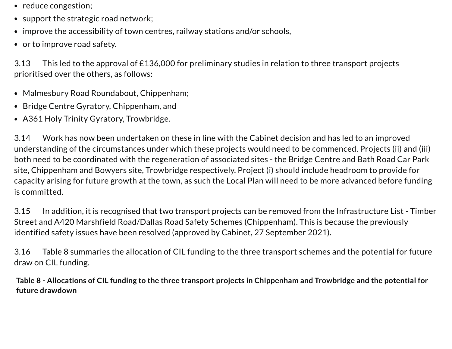- reduce congestion;
- support the strategic road network;
- improve the accessibility of town centres, railway stations and/or schools,
- or to improve road safety.

3.13 This led to the approval of £136,000 for preliminary studies in relation to three transport projects prioritised over the others, as follows:

- Malmesbury Road Roundabout, Chippenham;
- Bridge Centre Gyratory, Chippenham, and
- A361 Holy Trinity Gyratory, Trowbridge.

3.14 Work has now been undertaken on these in line with the Cabinet decision and has led to an improved understanding of the circumstances under which these projects would need to be commenced. Projects (ii) and (iii) both need to be coordinated with the regeneration of associated sites - the Bridge Centre and Bath Road Car Park site, Chippenham and Bowyers site, Trowbridge respectively. Project (i) should include headroom to provide for capacity arising for future growth at the town, as such the Local Plan will need to be more advanced before funding is committed.

3.15 In addition, it is recognised that two transport projects can be removed from the Infrastructure List - Timber Street and A420 Marshfield Road/Dallas Road Safety Schemes (Chippenham). This is because the previously identified safety issues have been resolved (approved by Cabinet, 27 September 2021).

3.16 Table 8 summaries the allocation of CIL funding to the three transport schemes and the potential for future draw on CIL funding.

Table 8 - Allocations of CIL funding to the three transport projects in Chippenham and Trowbridge and the potential for **future drawdown**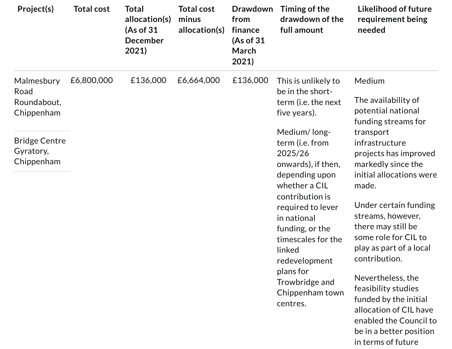| Project(s)                                                                                         | <b>Total cost</b> | <b>Total</b><br>allocation(s)<br>(As of 31<br><b>December</b><br>2021) | <b>Total cost</b><br>minus<br>allocation(s) | <b>Drawdown</b><br>from<br>finance<br>(As of 31<br>March<br>2021) | Timing of the<br>drawdown of the<br>full amount                                                                                                                                                                                                                                                                                                                                | Likelihood of future<br>requirement being<br>needed                                                                                                                                                                                                                                                                                                                                                                                                                                                             |
|----------------------------------------------------------------------------------------------------|-------------------|------------------------------------------------------------------------|---------------------------------------------|-------------------------------------------------------------------|--------------------------------------------------------------------------------------------------------------------------------------------------------------------------------------------------------------------------------------------------------------------------------------------------------------------------------------------------------------------------------|-----------------------------------------------------------------------------------------------------------------------------------------------------------------------------------------------------------------------------------------------------------------------------------------------------------------------------------------------------------------------------------------------------------------------------------------------------------------------------------------------------------------|
| Malmesbury<br>Road<br>Roundabout,<br>Chippenham<br><b>Bridge Centre</b><br>Gyratory,<br>Chippenham | £6,800,000        | £136,000                                                               | £6,664,000                                  | £136,000                                                          | This is unlikely to<br>be in the short-<br>term (i.e. the next<br>five years).<br>Medium/Iong-<br>term (i.e. from<br>2025/26<br>onwards), if then,<br>depending upon<br>whether a CIL<br>contribution is<br>required to lever<br>in national<br>funding, or the<br>timescales for the<br>linked<br>redevelopment<br>plans for<br>Trowbridge and<br>Chippenham town<br>centres. | Medium<br>The availability of<br>potential national<br>funding streams for<br>transport<br>infrastructure<br>projects has improved<br>markedly since the<br>initial allocations were<br>made.<br>Under certain funding<br>streams, however,<br>there may still be<br>some role for CIL to<br>play as part of a local<br>contribution.<br>Nevertheless, the<br>feasibility studies<br>funded by the initial<br>allocation of CIL have<br>enabled the Council to<br>be in a better position<br>in terms of future |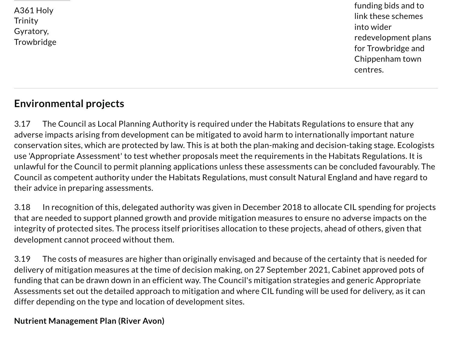A361 Holy **Trinity** Gyratory, **Trowbridge**  funding bids and to link these schemes into wider redevelopment plans for Trowbridge and Chippenham town centres.

### **Environmental projects**

3.17 The Council as Local Planning Authority is required under the Habitats Regulations to ensure that any adverse impacts arising from development can be mitigated to avoid harm to internationally important nature conservation sites, which are protected by law. This is at both the plan-making and decision-taking stage. Ecologists use 'Appropriate Assessment' to test whether proposals meet the requirements in the Habitats Regulations. It is unlawful for the Council to permit planning applications unless these assessments can be concluded favourably. The Council as competent authority under the Habitats Regulations, must consult Natural England and have regard to their advice in preparing assessments.

3.18 In recognition of this, delegated authority was given in December 2018 to allocate CIL spending for projects that are needed to support planned growth and provide mitigation measures to ensure no adverse impacts on the integrity of protected sites. The process itself prioritises allocation to these projects, ahead of others, given that development cannot proceed without them.

3.19 The costs of measures are higher than originally envisaged and because of the certainty that is needed for delivery of mitigation measures at the time of decision making, on 27 September 2021, Cabinet approved pots of funding that can be drawn down in an efficient way. The Council's mitigation strategies and generic Appropriate Assessments set out the detailed approach to mitigation and where CIL funding will be used for delivery, as it can differ depending on the type and location of development sites.

#### **Nutrient Management Plan (River Avon)**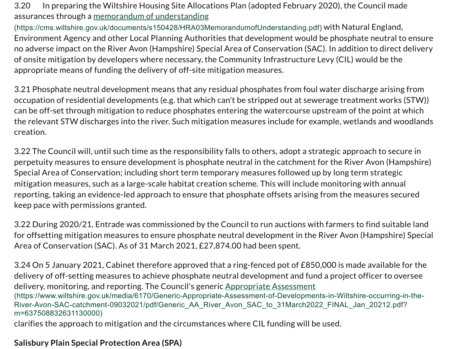3.20 In preparing the Wiltshire Housing Site Allocations Plan (adopted February 2020), the Council made assurances through a memorandum of understanding

[\(https://cms.wiltshire.gov.uk/documents/s150428/HRA03MemorandumofUnderstanding.pdf\)](https://cms.wiltshire.gov.uk/documents/s150428/HRA03MemorandumofUnderstanding.pdf) with Natural England, Environment Agency and other Local Planning Authorities that development would be phosphate neutral to ensure no adverse impact on the River Avon (Hampshire) Special Area of Conservation (SAC). In addition to direct delivery of onsite mitigation by developers where necessary, the Community Infrastructure Levy (CIL) would be the appropriate means of funding the delivery of off-site mitigation measures.

3.21 Phosphate neutral development means that any residual phosphates from foul water discharge arising from occupation of residential developments (e.g. that which can't be stripped out at sewerage treatment works (STW)) can be off-set through mitigation to reduce phosphates entering the watercourse upstream of the point at which the relevant STW discharges into the river. Such mitigation measures include for example, wetlands and woodlands creation.

3.22 The Council will, until such time as the responsibility falls to others, adopt a strategic approach to secure in perpetuity measures to ensure development is phosphate neutral in the catchment for the River Avon (Hampshire) Special Area of Conservation; including short term temporary measures followed up by long term strategic mitigation measures, such as a large-scale habitat creation scheme. This will include monitoring with annual reporting, taking an evidence-led approach to ensure that phosphate offsets arising from the measures secured keep pace with permissions granted.

3.22 During 2020/21, Entrade was commissioned by the Council to run auctions with farmers to find suitable land for offsetting mitigation measures to ensure phosphate neutral development in the River Avon (Hampshire) Special Area of Conservation (SAC). As of 31 March 2021, £27,874.00 had been spent.

3.24 On 5 January 2021, Cabinet therefore approved that a ring-fenced pot of £850,000 is made available for the delivery of off-setting measures to achieve phosphate neutral development and fund a project officer to oversee delivery, monitoring, and reporting. The Council's generic Appropriate Assessment [\(https://www.wiltshire.gov.uk/media/6170/Generic-Appropriate-Assessment-of-Developments-in-Wiltshire-occurring-in-the-](https://www.wiltshire.gov.uk/media/6170/Generic-Appropriate-Assessment-of-Developments-in-Wiltshire-occurring-in-the-River-Avon-SAC-catchment-09032021/pdf/Generic_AA_River_Avon_SAC_to_31March2022_FINAL_Jan_20212.pdf?m=637508832631130000)River-Avon-SAC-catchment-09032021/pdf/Generic\_AA\_River\_Avon\_SAC\_to\_31March2022\_FINAL\_Jan\_20212.pdf? m=637508832631130000)

clarifies the approach to mitigation and the circumstances where CIL funding will be used.

#### **Salisbury Plain Special Protection Area (SPA)**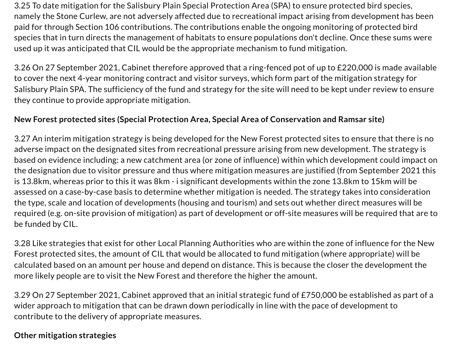3.25 To date mitigation for the Salisbury Plain Special Protection Area (SPA) to ensure protected bird species, namely the Stone Curlew, are not adversely affected due to recreational impact arising from development has been paid for through Section 106 contributions. The contributions enable the ongoing monitoring of protected bird species that in turn directs the management of habitats to ensure populations don't decline. Once these sums were used up it was anticipated that CIL would be the appropriate mechanism to fund mitigation.

3.26 On 27 September 2021, Cabinet therefore approved that a ring-fenced pot of up to £220,000 is made available to cover the next 4-year monitoring contract and visitor surveys, which form part of the mitigation strategy for Salisbury Plain SPA. The sufficiency of the fund and strategy for the site will need to be kept under review to ensure they continue to provide appropriate mitigation.

#### **New Forest protected sites (Special Protection Area, Special Area of Conservation and Ramsar site)**

3.27 An interim mitigation strategy is being developed for the New Forest protected sites to ensure that there is no adverse impact on the designated sites from recreational pressure arising from new development. The strategy is based on evidence including: a new catchment area (or zone of influence) within which development could impact on the designation due to visitor pressure and thus where mitigation measures are justified (from September 2021 this is 13.8km, whereas prior to this it was 8km - i significant developments within the zone 13.8km to 15km will be assessed on a case-by-case basis to determine whether mitigation is needed. The strategy takes into consideration the type, scale and location of developments (housing and tourism) and sets out whether direct measures will be required (e.g. on-site provision of mitigation) as part of development or off-site measures will be required that are to be funded by CIL.

3.28 Like strategies that exist for other Local Planning Authorities who are within the zone of influence for the New Forest protected sites, the amount of CIL that would be allocated to fund mitigation (where appropriate) will be calculated based on an amount per house and depend on distance. This is because the closer the development the more likely people are to visit the New Forest and therefore the higher the amount.

3.29 On 27 September 2021, Cabinet approved that an initial strategic fund of £750,000 be established as part of a wider approach to mitigation that can be drawn down periodically in line with the pace of development to contribute to the delivery of appropriate measures.

#### **Other mitigation strategies**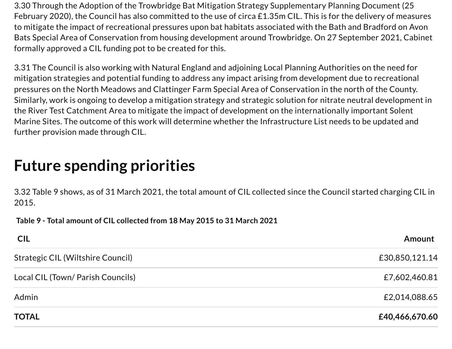3.30 Through the Adoption of the Trowbridge Bat Mitigation Strategy Supplementary Planning Document (25 February 2020), the Council has also committed to the use of circa £1.35m CIL. This is for the delivery of measures to mitigate the impact of recreational pressures upon bat habitats associated with the Bath and Bradford on Avon Bats Special Area of Conservation from housing development around Trowbridge. On 27 September 2021, Cabinet formally approved a CIL funding pot to be created for this.

3.31 The Council is also working with Natural England and adjoining Local Planning Authorities on the need for mitigation strategies and potential funding to address any impact arising from development due to recreational pressures on the North Meadows and Clattinger Farm Special Area of Conservation in the north of the County. Similarly, work is ongoing to develop a mitigation strategy and strategic solution for nitrate neutral development in the River Test Catchment Area to mitigate the impact of development on the internationally important Solent Marine Sites. The outcome of this work will determine whether the Infrastructure List needs to be updated and further provision made through CIL.

### **Future spending priorities**

3.32 Table 9 shows, as of 31 March 2021, the total amount of CIL collected since the Council started charging CIL in 2015.

**Table 9 - Total amount of CIL collected from 18 May 2015 to 31 March 2021**

| <b>CIL</b>                        | Amount         |
|-----------------------------------|----------------|
| Strategic CIL (Wiltshire Council) | £30,850,121.14 |
| Local CIL (Town/ Parish Councils) | £7,602,460.81  |
| Admin                             | £2,014,088.65  |
| <b>TOTAL</b>                      | £40,466,670.60 |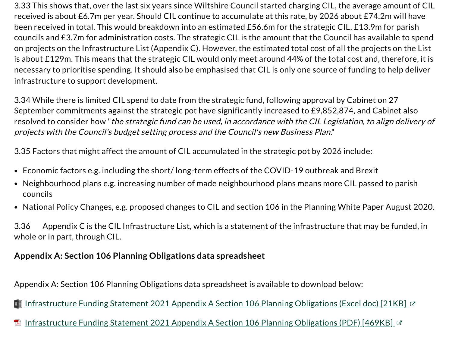3.33 This shows that, over the last six years since Wiltshire Council started charging CIL, the average amount of CIL received is about £6.7m per year. Should CIL continue to accumulate at this rate, by 2026 about £74.2m will have been received in total. This would breakdown into an estimated £56.6m for the strategic CIL, £13.9m for parish councils and £3.7m for administration costs. The strategic CIL is the amount that the Council has available to spend on projects on the Infrastructure List (Appendix C). However, the estimated total cost of all the projects on the List is about £129m. This means that the strategic CIL would only meet around 44% of the total cost and, therefore, it is necessary to prioritise spending. It should also be emphasised that CIL is only one source of funding to help deliver infrastructure to support development.

3.34 While there is limited CIL spend to date from the strategic fund, following approval by Cabinet on 27 September commitments against the strategic pot have significantly increased to £9,852,874, and Cabinet also resolved to consider how "the strategic fund can be used, in accordance with the CIL Legislation, to align delivery of projects with the Council's budget setting process and the Council's new Business Plan."

3.35 Factors that might affect the amount of CIL accumulated in the strategic pot by 2026 include:

- Economic factors e.g. including the short/ long-term effects of the COVID-19 outbreak and Brexit
- Neighbourhood plans e.g. increasing number of made neighbourhood plans means more CIL passed to parish councils
- National Policy Changes, e.g. proposed changes to CIL and section 106 in the Planning White Paper August 2020.

3.36 Appendix C is the CIL Infrastructure List, which is a statement of the infrastructure that may be funded, in whole or in part, through CIL.

#### **Appendix A: Section 106 Planning Obligations data spreadsheet**

Appendix A: Section 106 Planning Obligations data spreadsheet is available to download below:

[Infrastructure](https://www.wiltshire.gov.uk/media/7935/Infrastructure-Funding-Statement-2021-Appendix-A-Section-106-Planning-Obligations/excel/Infrastructure-Funding-Statement-2021-Appendix-A-Section-106-Planning-Obligations.xlsx?m=637758654980400000) Funding Statement 2021 Appendix A Section 106 Planning Obligations (Excel doc) [21KB] &

[Infrastructure](https://www.wiltshire.gov.uk/media/7936/Infrastructure-Funding-Statement-2021-Appendix-A-Section-106-Planning-Obligations/pdf/Infrastructure-Funding-Statement-2021-Appendix-A-Section-106-Planning-Obligations1.pdf?m=637758681748570000) Funding Statement 2021 Appendix A Section 106 Planning Obligations (PDF) [469KB] &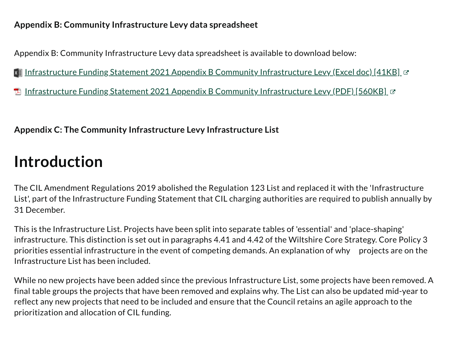#### **Appendix B: Community Infrastructure Levy data spreadsheet**

Appendix B: Community Infrastructure Levy data spreadsheet is available to download below:

lnfrastructure Funding Statement 2021 Appendix B Community [Infrastructure](https://www.wiltshire.gov.uk/media/7934/Infrastructure-Funding-Statement-2021-Appendix-B-Community-Infrastructure-Levy/excel/Infrastructure-Funding-Statement-2021-Appendix-B-Community-Infrastructure-Levy.xlsx?m=637758645716430000) Levy (Excel doc) [41KB] ଫ

[Infrastructure](https://www.wiltshire.gov.uk/media/7938/Infrastructure-Funding-Statement-2021-Appendix-B-Community-Infrastructure-Levy/pdf/Infrastructure-Funding-Statement-2021-Appendix-B-Community-Infrastructure-Levy.pdf?m=637758683520870000) Funding Statement 2021 Appendix B Community Infrastructure Levy (PDF) [560KB] &

#### **Appendix C: The Community Infrastructure Levy Infrastructure List**

### **Introduction**

The CIL Amendment Regulations 2019 abolished the Regulation 123 List and replaced it with the 'Infrastructure List', part of the Infrastructure Funding Statement that CIL charging authorities are required to publish annually by 31 December.

This is the Infrastructure List. Projects have been split into separate tables of 'essential' and 'place-shaping' infrastructure. This distinction is set out in paragraphs 4.41 and 4.42 of the Wiltshire Core Strategy. Core Policy 3 priorities essential infrastructure in the event of competing demands. An explanation of why projects are on the Infrastructure List has been included.

While no new projects have been added since the previous Infrastructure List, some projects have been removed. A final table groups the projects that have been removed and explains why. The List can also be updated mid-year to reflect any new projects that need to be included and ensure that the Council retains an agile approach to the prioritization and allocation of CIL funding.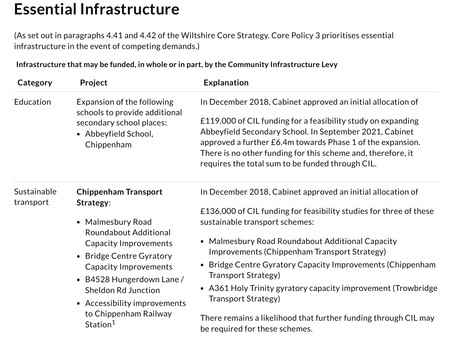### **Essential Infrastructure**

(As set out in paragraphs 4.41 and 4.42 of the Wiltshire Core Strategy. Core Policy 3 prioritises essential infrastructure in the event of competing demands.)

**Infrastructure that may be funded, in whole or in part, by the Community Infrastructure Levy**

| Category    | Project                                                     | <b>Explanation</b>                                                    |
|-------------|-------------------------------------------------------------|-----------------------------------------------------------------------|
| Education   | Expansion of the following<br>schools to provide additional | In December 2018, Cabinet approved an initial allocation of           |
|             | secondary school places:                                    | £119,000 of CIL funding for a feasibility study on expanding          |
|             | • Abbeyfield School,                                        | Abbeyfield Secondary School. In September 2021, Cabinet               |
|             | Chippenham                                                  | approved a further £6.4m towards Phase 1 of the expansion.            |
|             |                                                             | There is no other funding for this scheme and, therefore, it          |
|             |                                                             | requires the total sum to be funded through CIL.                      |
| Sustainable | <b>Chippenham Transport</b>                                 | In December 2018, Cabinet approved an initial allocation of           |
| transport   | Strategy:                                                   |                                                                       |
|             |                                                             | £136,000 of CIL funding for feasibility studies for three of these    |
|             | • Malmesbury Road                                           | sustainable transport schemes:                                        |
|             | <b>Roundabout Additional</b>                                |                                                                       |
|             | <b>Capacity Improvements</b><br>• Bridge Centre Gyratory    | • Malmesbury Road Roundabout Additional Capacity                      |
|             |                                                             | Improvements (Chippenham Transport Strategy)                          |
|             | <b>Capacity Improvements</b>                                | Bridge Centre Gyratory Capacity Improvements (Chippenham<br>$\bullet$ |
|             | • B4528 Hungerdown Lane /<br><b>Sheldon Rd Junction</b>     | Transport Strategy)                                                   |
|             |                                                             | • A361 Holy Trinity gyratory capacity improvement (Trowbridge         |
|             | • Accessibility improvements                                | Transport Strategy)                                                   |
|             | to Chippenham Railway                                       | There remains a likelihood that further funding through CIL may       |
|             | Station <sup>1</sup>                                        | be required for these schemes.                                        |
|             |                                                             |                                                                       |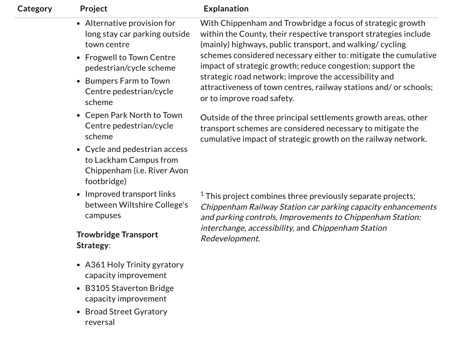| Category | Project                                                                                                                                                                                                       | <b>Explanation</b>                                                                                                                                                                                                                                                                                                                                                                                                                                                                       |
|----------|---------------------------------------------------------------------------------------------------------------------------------------------------------------------------------------------------------------|------------------------------------------------------------------------------------------------------------------------------------------------------------------------------------------------------------------------------------------------------------------------------------------------------------------------------------------------------------------------------------------------------------------------------------------------------------------------------------------|
|          | • Alternative provision for<br>long stay car parking outside<br>town centre<br>• Frogwell to Town Centre<br>pedestrian/cycle scheme<br>Bumpers Farm to Town<br>$\bullet$<br>Centre pedestrian/cycle<br>scheme | With Chippenham and Trowbridge a focus of strategic growth<br>within the County, their respective transport strategies include<br>(mainly) highways, public transport, and walking/ cycling<br>schemes considered necessary either to: mitigate the cumulative<br>impact of strategic growth; reduce congestion; support the<br>strategic road network; improve the accessibility and<br>attractiveness of town centres, railway stations and/ or schools;<br>or to improve road safety. |
|          | • Cepen Park North to Town<br>Centre pedestrian/cycle<br>scheme<br>• Cycle and pedestrian access<br>to Lackham Campus from<br>Chippenham (i.e. River Avon<br>footbridge)                                      | Outside of the three principal settlements growth areas, other<br>transport schemes are considered necessary to mitigate the<br>cumulative impact of strategic growth on the railway network.                                                                                                                                                                                                                                                                                            |
|          | • Improved transport links<br>between Wiltshire College's<br>campuses<br><b>Trowbridge Transport</b><br>Strategy:                                                                                             | $1$ This project combines three previously separate projects;<br>Chippenham Railway Station car parking capacity enhancements<br>and parking controls, Improvements to Chippenham Station:<br>interchange, accessibility, and Chippenham Station<br>Redevelopment.                                                                                                                                                                                                                       |
|          | • A361 Holy Trinity gyratory<br>capacity improvement<br><b>B3105 Staverton Bridge</b><br>$\bullet$<br>capacity improvement<br><b>Broad Street Gyratory</b><br>$\bullet$<br>reversal                           |                                                                                                                                                                                                                                                                                                                                                                                                                                                                                          |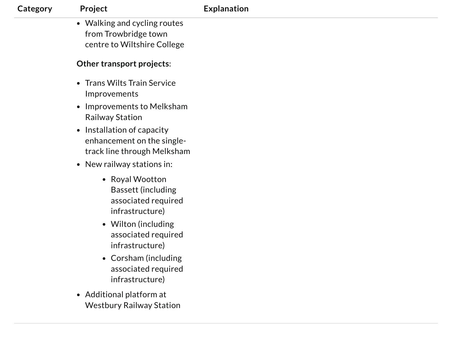| Category | Project                                                                                                                                                                                                | <b>Explanation</b> |
|----------|--------------------------------------------------------------------------------------------------------------------------------------------------------------------------------------------------------|--------------------|
|          | • Walking and cycling routes<br>from Trowbridge town<br>centre to Wiltshire College                                                                                                                    |                    |
|          | Other transport projects:                                                                                                                                                                              |                    |
|          | • Trans Wilts Train Service<br>Improvements                                                                                                                                                            |                    |
|          | • Improvements to Melksham<br><b>Railway Station</b>                                                                                                                                                   |                    |
|          | • Installation of capacity<br>enhancement on the single-<br>track line through Melksham                                                                                                                |                    |
|          | • New railway stations in:                                                                                                                                                                             |                    |
|          | • Royal Wootton<br><b>Bassett (including</b><br>associated required<br>infrastructure)<br>• Wilton (including<br>associated required<br>infrastructure)<br>• Corsham (including<br>associated required |                    |
|          | infrastructure)                                                                                                                                                                                        |                    |
|          | • Additional platform at<br><b>Westbury Railway Station</b>                                                                                                                                            |                    |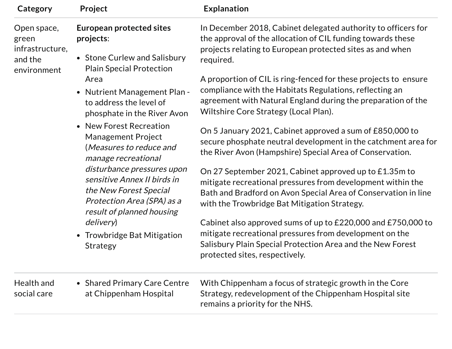| Category                                                          | Project                                                                                                                                                                                                                                                  | <b>Explanation</b>                                                                                                                                                                                                                      |
|-------------------------------------------------------------------|----------------------------------------------------------------------------------------------------------------------------------------------------------------------------------------------------------------------------------------------------------|-----------------------------------------------------------------------------------------------------------------------------------------------------------------------------------------------------------------------------------------|
| Open space,<br>green<br>infrastructure,<br>and the<br>environment | <b>European protected sites</b><br>projects:                                                                                                                                                                                                             | In December 2018, Cabinet delegated authority to officers for<br>the approval of the allocation of CIL funding towards these                                                                                                            |
|                                                                   | • Stone Curlew and Salisbury<br><b>Plain Special Protection</b>                                                                                                                                                                                          | projects relating to European protected sites as and when<br>required.                                                                                                                                                                  |
|                                                                   | Area                                                                                                                                                                                                                                                     | A proportion of CIL is ring-fenced for these projects to ensure                                                                                                                                                                         |
|                                                                   | • Nutrient Management Plan -<br>to address the level of<br>phosphate in the River Avon                                                                                                                                                                   | compliance with the Habitats Regulations, reflecting an<br>agreement with Natural England during the preparation of the<br>Wiltshire Core Strategy (Local Plan).                                                                        |
|                                                                   | • New Forest Recreation<br><b>Management Project</b><br>(Measures to reduce and<br>manage recreational<br>disturbance pressures upon<br>sensitive Annex II birds in<br>the New Forest Special<br>Protection Area (SPA) as a<br>result of planned housing | On 5 January 2021, Cabinet approved a sum of £850,000 to<br>secure phosphate neutral development in the catchment area for<br>the River Avon (Hampshire) Special Area of Conservation.                                                  |
|                                                                   |                                                                                                                                                                                                                                                          | On 27 September 2021, Cabinet approved up to £1.35m to<br>mitigate recreational pressures from development within the<br>Bath and Bradford on Avon Special Area of Conservation in line<br>with the Trowbridge Bat Mitigation Strategy. |
|                                                                   | <i>delivery</i> )<br>• Trowbridge Bat Mitigation<br>Strategy                                                                                                                                                                                             | Cabinet also approved sums of up to £220,000 and £750,000 to<br>mitigate recreational pressures from development on the<br>Salisbury Plain Special Protection Area and the New Forest<br>protected sites, respectively.                 |
| Health and<br>social care                                         | • Shared Primary Care Centre<br>at Chippenham Hospital                                                                                                                                                                                                   | With Chippenham a focus of strategic growth in the Core<br>Strategy, redevelopment of the Chippenham Hospital site<br>remains a priority for the NHS.                                                                                   |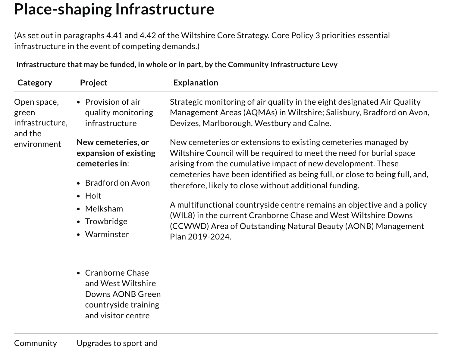### **Place-shaping Infrastructure**

(As set out in paragraphs 4.41 and 4.42 of the Wiltshire Core Strategy. Core Policy 3 priorities essential infrastructure in the event of competing demands.)

**Infrastructure that may be funded, in whole or in part, by the Community Infrastructure Levy**

| Category                                           | Project                                                                             | <b>Explanation</b>                                                                                                                                                                                                                                                                                                                              |
|----------------------------------------------------|-------------------------------------------------------------------------------------|-------------------------------------------------------------------------------------------------------------------------------------------------------------------------------------------------------------------------------------------------------------------------------------------------------------------------------------------------|
| Open space,<br>green<br>infrastructure,<br>and the | • Provision of air<br>quality monitoring<br>infrastructure                          | Strategic monitoring of air quality in the eight designated Air Quality<br>Management Areas (AQMAs) in Wiltshire; Salisbury, Bradford on Avon,<br>Devizes, Marlborough, Westbury and Calne.                                                                                                                                                     |
| environment                                        | New cemeteries, or<br>expansion of existing<br>cemeteries in:<br>• Bradford on Avon | New cemeteries or extensions to existing cemeteries managed by<br>Wiltshire Council will be required to meet the need for burial space<br>arising from the cumulative impact of new development. These<br>cemeteries have been identified as being full, or close to being full, and,<br>therefore, likely to close without additional funding. |
|                                                    | $\bullet$ Holt<br>• Melksham<br>• Trowbridge<br>• Warminster                        | A multifunctional countryside centre remains an objective and a policy<br>(WIL8) in the current Cranborne Chase and West Wiltshire Downs<br>(CCWWD) Area of Outstanding Natural Beauty (AONB) Management<br>Plan 2019-2024.                                                                                                                     |
|                                                    |                                                                                     |                                                                                                                                                                                                                                                                                                                                                 |

• Cranborne Chase and West Wiltshire Downs AONB Green countryside training and visitor centre

Community Upgrades to sport and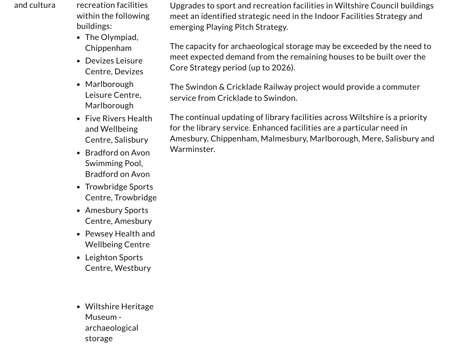- and cultura recreation facilities within the following buildings:
	- The Olympiad, Chippenham
	- Devizes Leisure Centre, Devizes
	- Marlborough Leisure Centre, Marlborough
	- Five Rivers Health and Wellbeing Centre, Salisbury
	- Bradford on Avon Swimming Pool, Bradford on Avon
	- Trowbridge Sports Centre, Trowbridge
	- Amesbury Sports Centre, Amesbury
	- Pewsey Health and Wellbeing Centre
	- Leighton Sports Centre, Westbury
	- Wiltshire Heritage Museum archaeological storage

Upgrades to sport and recreation facilities in Wiltshire Council buildings meet an identified strategic need in the Indoor Facilities Strategy and emerging Playing Pitch Strategy.

The capacity for archaeological storage may be exceeded by the need to meet expected demand from the remaining houses to be built over the Core Strategy period (up to 2026).

The Swindon & Cricklade Railway project would provide a commuter service from Cricklade to Swindon.

The continual updating of library facilities across Wiltshire is a priority for the library service. Enhanced facilities are a particular need in Amesbury, Chippenham, Malmesbury, Marlborough, Mere, Salisbury and Warminster.